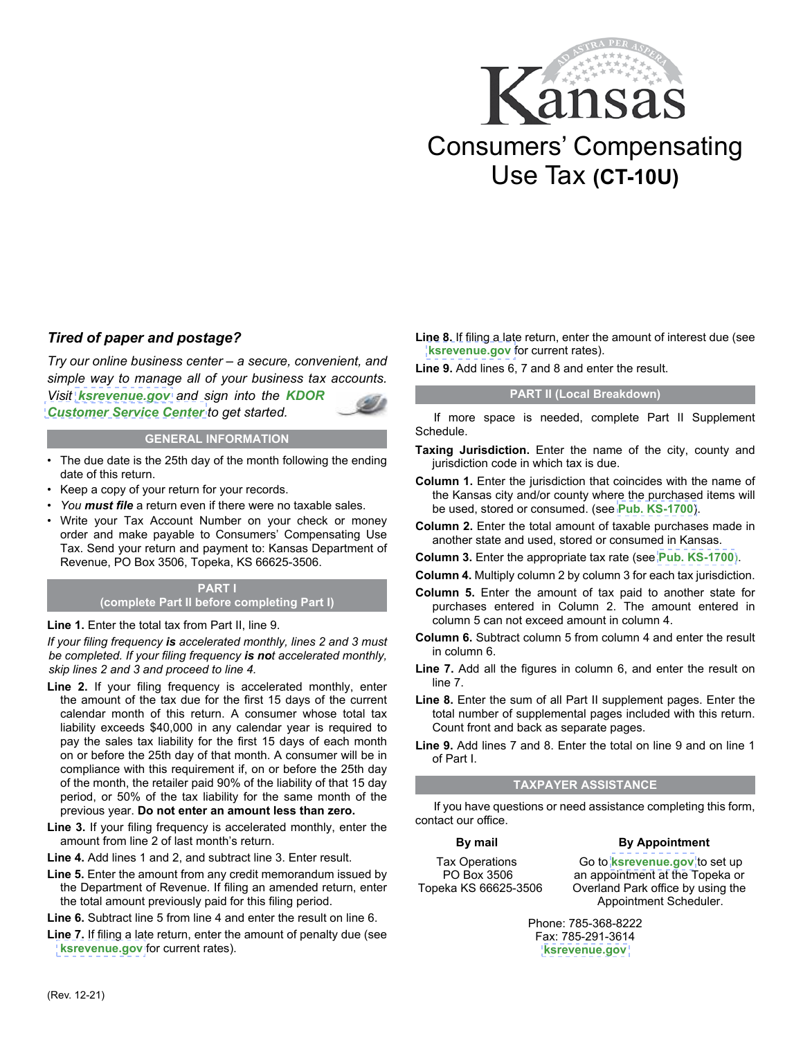

## *Tired of paper and postage?*

*Try our online business center – a secure, convenient, and simple way to manage all of your business tax accounts. Visit [ksrevenue.gov](https://www.kdor.ks.gov/Apps/kcsc/login.aspx) and sign into the KDOR [Customer Service Center](https://www.kdor.ks.gov/Apps/kcsc/login.aspx) to get started.*

#### **GENERAL INFORMATION**

- The due date is the 25th day of the month following the ending date of this return.
- Keep a copy of your return for your records.
- *You must file* a return even if there were no taxable sales.
- Write your Tax Account Number on your check or money order and make payable to Consumers' Compensating Use Tax. Send your return and payment to: Kansas Department of Revenue, PO Box 3506, Topeka, KS 66625-3506.

#### **PART I (complete Part II before completing Part I)**

#### **Line 1.** Enter the total tax from Part II, line 9.

*If your filing frequency is accelerated monthly, lines 2 and 3 must be completed. If your filing frequency is not accelerated monthly, skip lines 2 and 3 and proceed to line 4.* 

- **Line 2.** If your filing frequency is accelerated monthly, enter the amount of the tax due for the first 15 days of the current calendar month of this return. A consumer whose total tax liability exceeds \$40,000 in any calendar year is required to pay the sales tax liability for the first 15 days of each month on or before the 25th day of that month. A consumer will be in compliance with this requirement if, on or before the 25th day of the month, the retailer paid 90% of the liability of that 15 day period, or 50% of the tax liability for the same month of the previous year. **Do not enter an amount less than zero.**
- **Line 3.** If your filing frequency is accelerated monthly, enter the amount from line 2 of last month's return.
- **Line 4.** Add lines 1 and 2, and subtract line 3. Enter result.
- **Line 5.** Enter the amount from any credit memorandum issued by the Department of Revenue. If filing an amended return, enter the total amount previously paid for this filing period.
- **Line 6.** Subtract line 5 from line 4 and enter the result on line 6.
- **Line 7.** If filing a late return, enter the amount of penalty due (see **[ksrevenue.gov](https://www.ksrevenue.gov/pandi.html)** for current rates).

**Line 8.** If filing a late return, enter the amount of interest due (see **[ksrevenue.gov](https://www.ksrevenue.gov/pandi.html)** for current rates).

**Line 9.** Add lines 6, 7 and 8 and enter the result.

#### **PART II (Local Breakdown)**

If more space is needed, complete Part II Supplement Schedule.

- **Taxing Jurisdiction.** Enter the name of the city, county and jurisdiction code in which tax is due.
- **Column 1.** Enter the jurisdiction that coincides with the name of the Kansas city and/or county where the purchased items will be used, stored or consumed. (see **[Pub. KS-1700](https://www.ksrevenue.gov/salesratechanges.html)**).
- **Column 2.** Enter the total amount of taxable purchases made in another state and used, stored or consumed in Kansas.
- **Column 3.** Enter the appropriate tax rate (see **[Pub. KS-1700](https://www.ksrevenue.gov/salesratechanges.html)**).
- **Column 4.** Multiply column 2 by column 3 for each tax jurisdiction.
- **Column 5.** Enter the amount of tax paid to another state for purchases entered in Column 2. The amount entered in column 5 can not exceed amount in column 4.
- **Column 6.** Subtract column 5 from column 4 and enter the result in column 6.
- **Line 7.** Add all the figures in column 6, and enter the result on line 7.
- **Line 8.** Enter the sum of all Part II supplement pages. Enter the total number of supplemental pages included with this return. Count front and back as separate pages.
- **Line 9.** Add lines 7 and 8. Enter the total on line 9 and on line 1 of Part I.

### **TAXPAYER ASSISTANCE**

If you have questions or need assistance completing this form, contact our office.

#### **By mail**

#### Tax Operations PO Box 3506 Topeka KS 66625-3506

Go to **[ksrevenue.gov](https://www.kdor.ks.gov/Apps/AppointmentScheduler/ApptSchedule/Times?locType=TAX)** to set up an appointment at the Topeka or Overland Park office by using the Appointment Scheduler.

**By Appointment**

Phone: 785-368-8222 Fax: 785-291-3614 **[ksrevenue.gov](https://www.kdor.ks.gov/Apps/AppointmentScheduler/ApptSchedule/Times?locType=TAX)**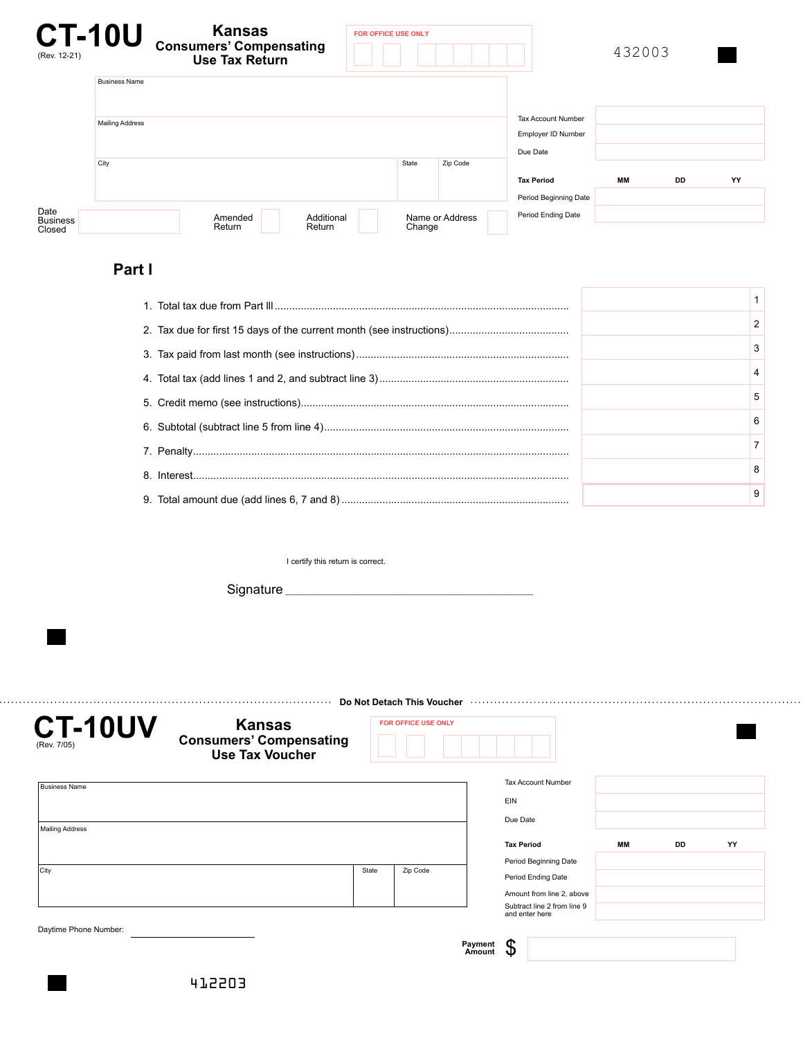| (Rev. 12-21)                      | <b>CT-10U</b>          | <b>Kansas</b><br><b>Consumers' Compensating</b><br><b>Use Tax Return</b> | <b>FOR OFFICE USE ONLY</b>                                  |        |                 |                                            | 432003 |           |    |
|-----------------------------------|------------------------|--------------------------------------------------------------------------|-------------------------------------------------------------|--------|-----------------|--------------------------------------------|--------|-----------|----|
|                                   | <b>Business Name</b>   |                                                                          |                                                             |        |                 |                                            |        |           |    |
|                                   | <b>Mailing Address</b> |                                                                          | <b>Tax Account Number</b><br>Employer ID Number<br>Due Date |        |                 |                                            |        |           |    |
|                                   | City                   |                                                                          |                                                             | State  | Zip Code        | <b>Tax Period</b><br>Period Beginning Date | MМ     | <b>DD</b> | YY |
| Date<br><b>Business</b><br>Closed |                        | Amended<br>Additional<br>Return<br>Return                                |                                                             | Change | Name or Address | Period Ending Date                         |        |           |    |

# **Part l**

. . . . . . . .

|  | $\overline{2}$ |
|--|----------------|
|  | 3              |
|  | $\overline{4}$ |
|  | 5              |
|  | 6              |
|  | $\overline{7}$ |
|  | 8              |
|  | 9              |
|  |                |

I certify this return is correct.

Signature\_

| <b>CT-10UV</b><br>(Rev. 7/05) | <b>Kansas</b><br><b>Consumers' Compensating</b><br><b>Use Tax Voucher</b> |       | <b>FOR OFFICE USE ONLY</b> |                   |                     |                                               |           |    |    |
|-------------------------------|---------------------------------------------------------------------------|-------|----------------------------|-------------------|---------------------|-----------------------------------------------|-----------|----|----|
| <b>Business Name</b>          |                                                                           |       |                            |                   |                     | <b>Tax Account Number</b>                     |           |    |    |
|                               |                                                                           |       |                            |                   | EIN                 |                                               |           |    |    |
|                               |                                                                           |       |                            |                   | Due Date            |                                               |           |    |    |
| <b>Mailing Address</b>        |                                                                           |       |                            |                   | <b>Tax Period</b>   | Period Beginning Date                         | <b>MM</b> | DD | YY |
| City                          |                                                                           | State | Zip Code                   |                   |                     | Period Ending Date                            |           |    |    |
|                               |                                                                           |       |                            |                   |                     | Amount from line 2, above                     |           |    |    |
|                               |                                                                           |       |                            |                   |                     | Subtract line 2 from line 9<br>and enter here |           |    |    |
| Daytime Phone Number:         |                                                                           |       |                            |                   |                     |                                               |           |    |    |
|                               |                                                                           |       |                            | Payment<br>Amount | Œ<br><sub>N</sub> D |                                               |           |    |    |

 $\mathcal{L}_\text{max}$  and  $\mathcal{L}_\text{max}$  and  $\mathcal{L}_\text{max}$  are all  $\mathcal{L}_\text{max}$ 

. . . . . . .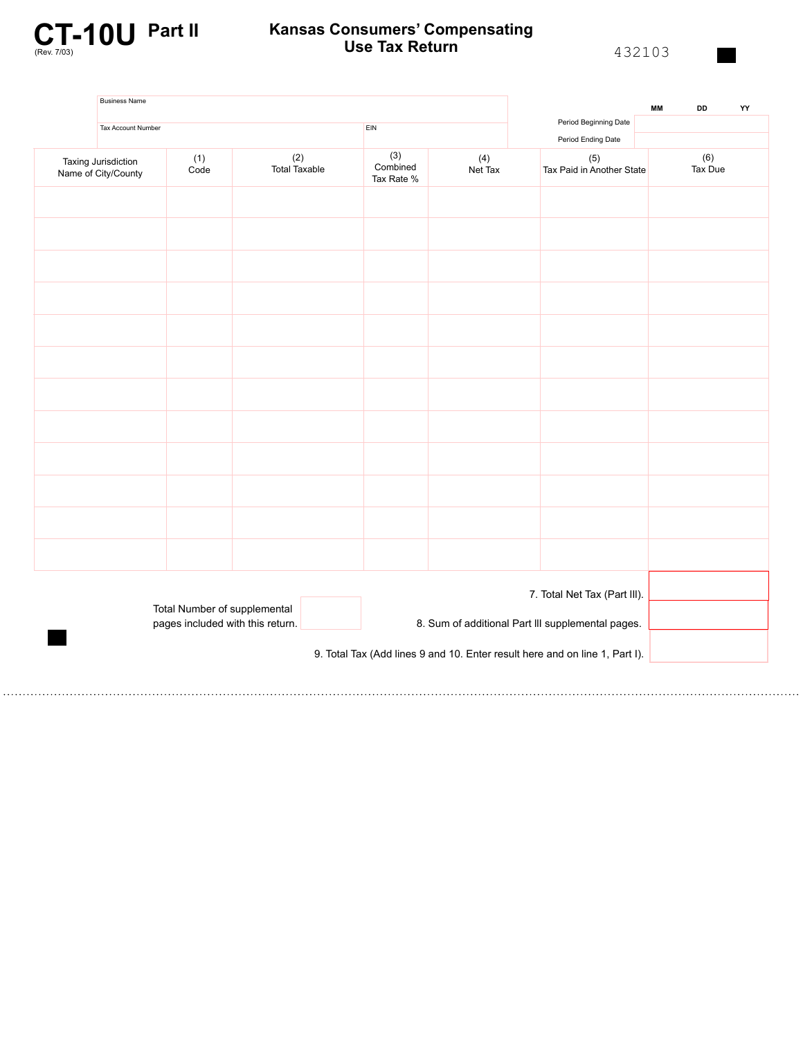

# **Kansas Consumers' Compensating Use Tax Return**

432103

| <b>Business Name</b>                       |                                                                  |                                           |                                                   | <b>MM</b><br>DD | YY                                                                          |                |  |  |
|--------------------------------------------|------------------------------------------------------------------|-------------------------------------------|---------------------------------------------------|-----------------|-----------------------------------------------------------------------------|----------------|--|--|
| Tax Account Number                         |                                                                  |                                           | EIN                                               |                 | Period Beginning Date<br>Period Ending Date                                 |                |  |  |
| Taxing Jurisdiction<br>Name of City/County | (1)<br>Code                                                      | $\left( 2\right)$<br><b>Total Taxable</b> | (3)<br>(4)<br>Combined<br>Net Tax<br>Tax Rate %   |                 | (5)<br>Tax Paid in Another State                                            | (6)<br>Tax Due |  |  |
|                                            |                                                                  |                                           |                                                   |                 |                                                                             |                |  |  |
|                                            |                                                                  |                                           |                                                   |                 |                                                                             |                |  |  |
|                                            |                                                                  |                                           |                                                   |                 |                                                                             |                |  |  |
|                                            |                                                                  |                                           |                                                   |                 |                                                                             |                |  |  |
|                                            |                                                                  |                                           |                                                   |                 |                                                                             |                |  |  |
|                                            |                                                                  |                                           |                                                   |                 |                                                                             |                |  |  |
|                                            |                                                                  |                                           |                                                   |                 |                                                                             |                |  |  |
|                                            |                                                                  |                                           |                                                   |                 |                                                                             |                |  |  |
|                                            |                                                                  |                                           |                                                   |                 |                                                                             |                |  |  |
|                                            |                                                                  |                                           |                                                   |                 |                                                                             |                |  |  |
|                                            |                                                                  |                                           |                                                   |                 |                                                                             |                |  |  |
|                                            |                                                                  |                                           |                                                   |                 |                                                                             |                |  |  |
|                                            |                                                                  | 7. Total Net Tax (Part III).              |                                                   |                 |                                                                             |                |  |  |
|                                            | Total Number of supplemental<br>pages included with this return. |                                           | 8. Sum of additional Part III supplemental pages. |                 |                                                                             |                |  |  |
|                                            |                                                                  |                                           |                                                   |                 | 9. Total Tax (Add lines 9 and 10. Enter result here and on line 1, Part I). |                |  |  |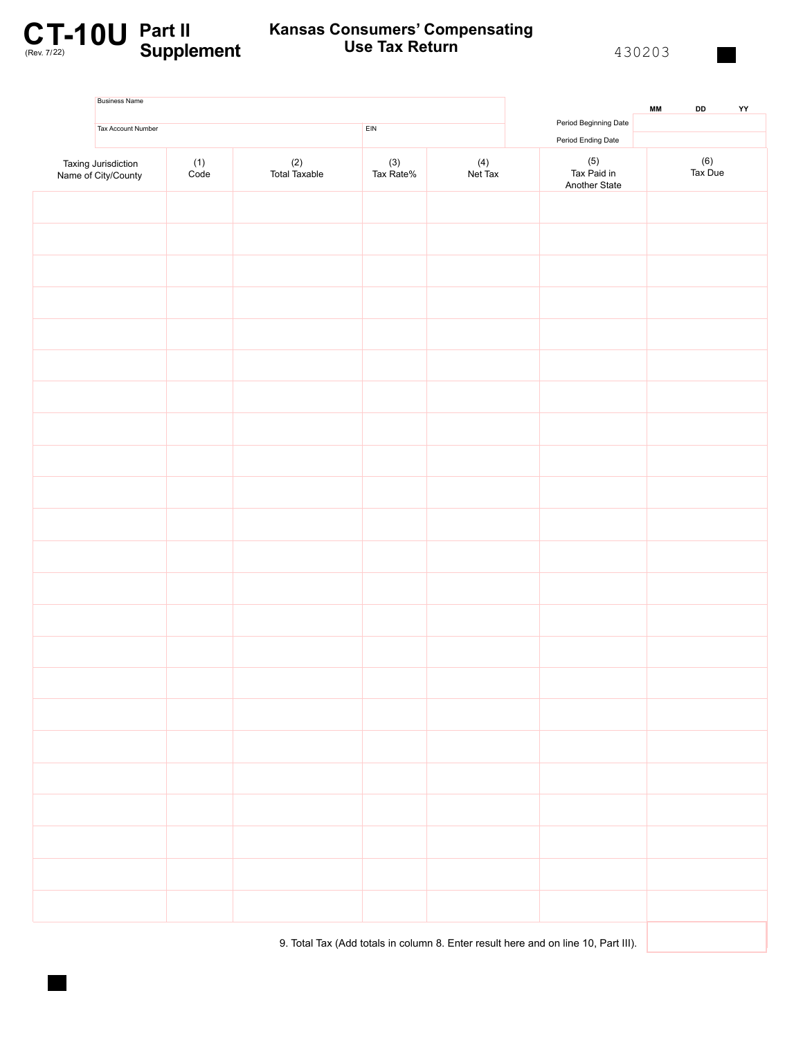

#### **C.T.-10U** Part II Kansas Consumers' Compensating<br>
Use Tax Return 130203 **Kansas Consumers' Compensating Use Tax Return**

| <b>Business Name</b>                       |               |                      |                                   | <b>MM</b><br>DD<br>${\bf YY}$ |                                             |                |
|--------------------------------------------|---------------|----------------------|-----------------------------------|-------------------------------|---------------------------------------------|----------------|
| Tax Account Number                         |               |                      | EIN                               |                               | Period Beginning Date<br>Period Ending Date |                |
| Taxing Jurisdiction<br>Name of City/County | $(1)$<br>Code | (2)<br>Total Taxable | $(4)$ Net Tax<br>(3)<br>Tax Rate% |                               | (5)<br>Tax Paid in<br>Another State         | (6)<br>Tax Due |
|                                            |               |                      |                                   |                               |                                             |                |
|                                            |               |                      |                                   |                               |                                             |                |
|                                            |               |                      |                                   |                               |                                             |                |
|                                            |               |                      |                                   |                               |                                             |                |
|                                            |               |                      |                                   |                               |                                             |                |
|                                            |               |                      |                                   |                               |                                             |                |
|                                            |               |                      |                                   |                               |                                             |                |
|                                            |               |                      |                                   |                               |                                             |                |
|                                            |               |                      |                                   |                               |                                             |                |
|                                            |               |                      |                                   |                               |                                             |                |
|                                            |               |                      |                                   |                               |                                             |                |
|                                            |               |                      |                                   |                               |                                             |                |
|                                            |               |                      |                                   |                               |                                             |                |
|                                            |               |                      |                                   |                               |                                             |                |
|                                            |               |                      |                                   |                               |                                             |                |
|                                            |               |                      |                                   |                               |                                             |                |
|                                            |               |                      |                                   |                               |                                             |                |
|                                            |               |                      |                                   |                               |                                             |                |
|                                            |               |                      |                                   |                               |                                             |                |
|                                            |               |                      |                                   |                               |                                             |                |
|                                            |               |                      |                                   |                               |                                             |                |
|                                            |               |                      |                                   |                               |                                             |                |
|                                            |               |                      |                                   |                               |                                             |                |
|                                            |               |                      |                                   |                               |                                             |                |

9. Total Tax (Add totals in column 8. Enter result here and on line 10, Part III).